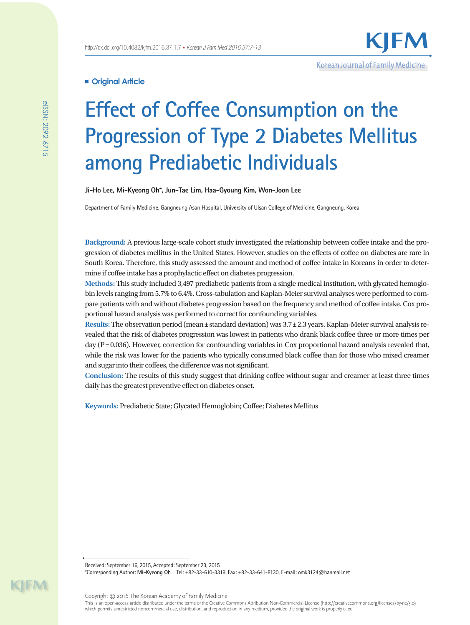# **Original Article**

# **Effect of Coffee Consumption on the Progression of Type 2 Diabetes Mellitus among Prediabetic Individuals**

**Ji-Ho Lee, Mi-Kyeong Oh\*, Jun-Tae Lim, Haa-Gyoung Kim, Won-Joon Lee**

Department of Family Medicine, Gangneung Asan Hospital, University of Ulsan College of Medicine, Gangneung, Korea

**Background:** A previous large-scale cohort study investigated the relationship between coffee intake and the progression of diabetes mellitus in the United States. However, studies on the effects of coffee on diabetes are rare in South Korea. Therefore, this study assessed the amount and method of coffee intake in Koreans in order to determine if coffee intake has a prophylactic effect on diabetes progression.

**Methods:** This study included 3,497 prediabetic patients from a single medical institution, with glycated hemoglobin levels ranging from 5.7% to 6.4%. Cross-tabulation and Kaplan-Meier survival analyses were performed to compare patients with and without diabetes progression based on the frequency and method of coffee intake. Cox proportional hazard analysis was performed to correct for confounding variables.

**Results:** The observation period (mean±standard deviation) was 3.7±2.3 years. Kaplan-Meier survival analysis revealed that the risk of diabetes progression was lowest in patients who drank black coffee three or more times per day (P=0.036). However, correction for confounding variables in Cox proportional hazard analysis revealed that, while the risk was lower for the patients who typically consumed black coffee than for those who mixed creamer and sugar into their coffees, the difference was not significant.

**Conclusion:** The results of this study suggest that drinking coffee without sugar and creamer at least three times daily has the greatest preventive effect on diabetes onset.

**Keywords:** Prediabetic State; Glycated Hemoglobin; Coffee; Diabetes Mellitus

Received: September 16, 2015, Accepted: September 23, 2015 \*Corresponding Author: **Mi-Kyeong Oh** Tel: +82-33-610-3319, Fax: +82-33-641-8130, E-mail: omk3124@hanmail.net

Copyright © 2016 The Korean Academy of Family Medicine This is an open-access article distributed under the terms of the Creative Commons Attribution Non-Commercial License (http://creativecommons.org/licenses/by-nc/3.0) which permits unrestricted noncommercial use, distribution, and reproduction in any medium, provided the original work is properly cited.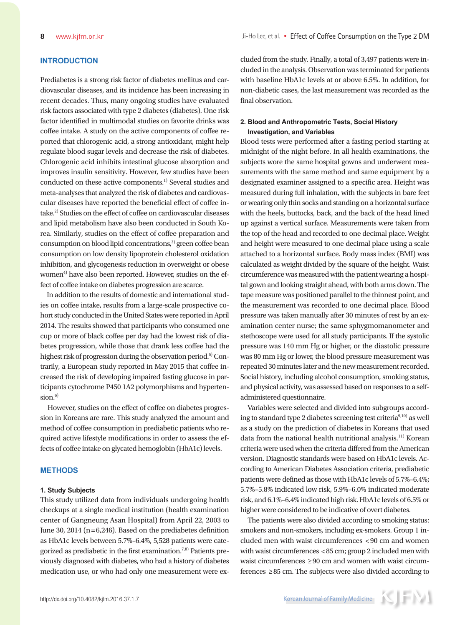# **INTRODUCTION**

Prediabetes is a strong risk factor of diabetes mellitus and cardiovascular diseases, and its incidence has been increasing in recent decades. Thus, many ongoing studies have evaluated risk factors associated with type 2 diabetes (diabetes). One risk factor identified in multimodal studies on favorite drinks was coffee intake. A study on the active components of coffee reported that chlorogenic acid, a strong antioxidant, might help regulate blood sugar levels and decrease the risk of diabetes. Chlorogenic acid inhibits intestinal glucose absorption and improves insulin sensitivity. However, few studies have been conducted on these active components.<sup>1)</sup> Several studies and meta-analyses that analyzed the risk of diabetes and cardiovascular diseases have reported the beneficial effect of coffee intake.2) Studies on the effect of coffee on cardiovascular diseases and lipid metabolism have also been conducted in South Korea. Similarly, studies on the effect of coffee preparation and consumption on blood lipid concentrations,<sup>3)</sup> green coffee bean consumption on low density lipoprotein cholesterol oxidation inhibition, and glycogenesis reduction in overweight or obese women<sup>4)</sup> have also been reported. However, studies on the effect of coffee intake on diabetes progression are scarce.

In addition to the results of domestic and international studies on coffee intake, results from a large-scale prospective cohort study conducted in the United States were reported in April 2014. The results showed that participants who consumed one cup or more of black coffee per day had the lowest risk of diabetes progression, while those that drank less coffee had the highest risk of progression during the observation period.5) Contrarily, a European study reported in May 2015 that coffee increased the risk of developing impaired fasting glucose in participants cytochrome P450 1A2 polymorphisms and hyperten $sion.<sup>6</sup>$ 

However, studies on the effect of coffee on diabetes progression in Koreans are rare. This study analyzed the amount and method of coffee consumption in prediabetic patients who required active lifestyle modifications in order to assess the effects of coffee intake on glycated hemoglobin (HbA1c) levels.

# **METHODS**

## **1. Study Subjects**

This study utilized data from individuals undergoing health checkups at a single medical institution (health examination center of Gangneung Asan Hospital) from April 22, 2003 to June 30, 2014 ( $n = 6,246$ ). Based on the prediabetes definition as HbA1c levels between 5.7%–6.4%, 5,528 patients were categorized as prediabetic in the first examination.7,8) Patients previously diagnosed with diabetes, who had a history of diabetes medication use, or who had only one measurement were excluded from the study. Finally, a total of 3,497 patients were included in the analysis. Observation was terminated for patients with baseline HbA1c levels at or above 6.5%. In addition, for non-diabetic cases, the last measurement was recorded as the final observation.

# **2. Blood and Anthropometric Tests, Social History Investigation, and Variables**

Blood tests were performed after a fasting period starting at midnight of the night before. In all health examinations, the subjects wore the same hospital gowns and underwent measurements with the same method and same equipment by a designated examiner assigned to a specific area. Height was measured during full inhalation, with the subjects in bare feet or wearing only thin socks and standing on a horizontal surface with the heels, buttocks, back, and the back of the head lined up against a vertical surface. Measurements were taken from the top of the head and recorded to one decimal place. Weight and height were measured to one decimal place using a scale attached to a horizontal surface. Body mass index (BMI) was calculated as weight divided by the square of the height. Waist circumference was measured with the patient wearing a hospital gown and looking straight ahead, with both arms down. The tape measure was positioned parallel to the thinnest point, and the measurement was recorded to one decimal place. Blood pressure was taken manually after 30 minutes of rest by an examination center nurse; the same sphygmomanometer and stethoscope were used for all study participants. If the systolic pressure was 140 mm Hg or higher, or the diastolic pressure was 80 mm Hg or lower, the blood pressure measurement was repeated 30 minutes later and the new measurement recorded. Social history, including alcohol consumption, smoking status, and physical activity, was assessed based on responses to a selfadministered questionnaire.

Variables were selected and divided into subgroups according to standard type 2 diabetes screening test criteria $9,10)$  as well as a study on the prediction of diabetes in Koreans that used data from the national health nutritional analysis.<sup>11)</sup> Korean criteria were used when the criteria differed from the American version. Diagnostic standards were based on HbA1c levels. According to American Diabetes Association criteria, prediabetic patients were defined as those with HbA1c levels of 5.7%–6.4%; 5.7%–5.8% indicated low risk, 5.9%–6.0% indicated moderate risk, and 6.1%–6.4% indicated high risk. HbA1c levels of 6.5% or higher were considered to be indicative of overt diabetes.

The patients were also divided according to smoking status: smokers and non-smokers, including ex-smokers. Group 1 included men with waist circumferences <90 cm and women with waist circumferences <85 cm; group 2 included men with waist circumferences ≥90 cm and women with waist circumferences ≥85 cm. The subjects were also divided according to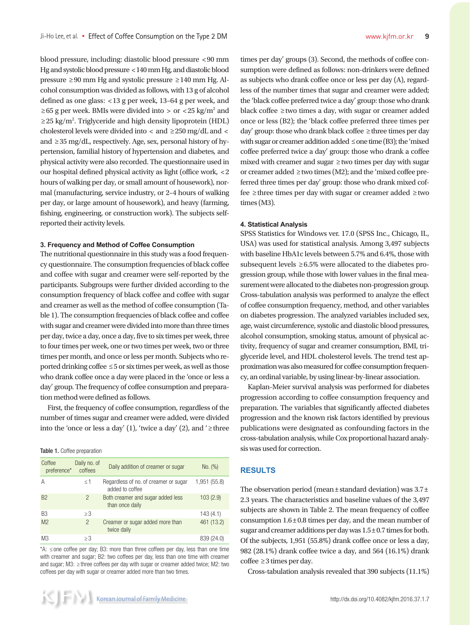blood pressure, including: diastolic blood pressure <90 mm Hg and systolic blood pressure <140 mm Hg, and diastolic blood pressure ≥90 mm Hg and systolic pressure ≥140 mm Hg. Alcohol consumption was divided as follows, with 13 g of alcohol defined as one glass: <13 g per week, 13–64 g per week, and ≥65 g per week. BMIs were divided into > or <25 kg/m<sup>2</sup> and ≥25 kg/m<sup>2</sup>. Triglyceride and high density lipoprotein (HDL) cholesterol levels were divided into  $\langle$  and  $\rangle$  250 mg/dL and  $\langle$ and ≥35 mg/dL, respectively. Age, sex, personal history of hypertension, familial history of hypertension and diabetes, and physical activity were also recorded. The questionnaire used in our hospital defined physical activity as light (office work, <2 hours of walking per day, or small amount of housework), normal (manufacturing, service industry, or 2–4 hours of walking per day, or large amount of housework), and heavy (farming, fishing, engineering, or construction work). The subjects selfreported their activity levels.

## **3. Frequency and Method of Coffee Consumption**

The nutritional questionnaire in this study was a food frequency questionnaire. The consumption frequencies of black coffee and coffee with sugar and creamer were self-reported by the participants. Subgroups were further divided according to the consumption frequency of black coffee and coffee with sugar and creamer as well as the method of coffee consumption (Table 1). The consumption frequencies of black coffee and coffee with sugar and creamer were divided into more than three times per day, twice a day, once a day, five to six times per week, three to four times per week, one or two times per week, two or three times per month, and once or less per month. Subjects who reported drinking coffee ≤5 or six times per week, as well as those who drank coffee once a day were placed in the 'once or less a day' group. The frequency of coffee consumption and preparation method were defined as follows.

First, the frequency of coffee consumption, regardless of the number of times sugar and creamer were added, were divided into the 'once or less a day' (1), 'twice a day' (2), and ' $\geq$  three

Table 1. Coffee preparation

| Coffee<br>preference* | Daily no. of<br>coffees | Daily addition of creamer or sugar                       | No. (%)      |
|-----------------------|-------------------------|----------------------------------------------------------|--------------|
| A                     | $\leq 1$                | Regardless of no. of creamer or sugar<br>added to coffee | 1,951 (55.8) |
| <b>B2</b>             | $\overline{2}$          | Both creamer and sugar added less<br>than once daily     | 103(2.9)     |
| B <sub>3</sub>        | $\geq$ 3                |                                                          | 143(4.1)     |
| M <sub>2</sub>        | $\overline{2}$          | Creamer or sugar added more than<br>twice daily          | 461 (13.2)   |
| M <sub>3</sub>        | $\geq$ 3                |                                                          | 839 (24.0)   |

\*A: ≤ one coffee per day; B3: more than three coffees per day, less than one time with creamer and sugar; B2: two coffees per day, less than one time with creamer and sugar; M3: ≥ three coffees per day with sugar or creamer added twice; M2: two coffees per day with sugar or creamer added more than two times.

times per day' groups (3). Second, the methods of coffee consumption were defined as follows: non-drinkers were defined as subjects who drank coffee once or less per day (A), regardless of the number times that sugar and creamer were added; the 'black coffee preferred twice a day' group: those who drank black coffee ≥two times a day, with sugar or creamer added once or less (B2); the 'black coffee preferred three times per day' group: those who drank black coffee ≥three times per day with sugar or creamer addition added ≤one time (B3); the 'mixed coffee preferred twice a day' group: those who drank a coffee mixed with creamer and sugar ≥two times per day with sugar or creamer added ≥two times (M2); and the 'mixed coffee preferred three times per day' group: those who drank mixed coffee ≥three times per day with sugar or creamer added ≥two times (M3).

#### **4. Statistical Analysis**

SPSS Statistics for Windows ver. 17.0 (SPSS Inc., Chicago, IL, USA) was used for statistical analysis. Among 3,497 subjects with baseline HbA1c levels between 5.7% and 6.4%, those with subsequent levels  $\geq 6.5\%$  were allocated to the diabetes progression group, while those with lower values in the final measurement were allocated to the diabetes non-progression group. Cross-tabulation analysis was performed to analyze the effect of coffee consumption frequency, method, and other variables on diabetes progression. The analyzed variables included sex, age, waist circumference, systolic and diastolic blood pressures, alcohol consumption, smoking status, amount of physical activity, frequency of sugar and creamer consumption, BMI, triglyceride level, and HDL cholesterol levels. The trend test approximation was also measured for coffee consumption frequency, an ordinal variable, by using linear-by-linear association.

Kaplan-Meier survival analysis was performed for diabetes progression according to coffee consumption frequency and preparation. The variables that significantly affected diabetes progression and the known risk factors identified by previous publications were designated as confounding factors in the cross-tabulation analysis, while Cox proportional hazard analysis was used for correction.

# **RESULTS**

The observation period (mean $\pm$ standard deviation) was 3.7 $\pm$ 2.3 years. The characteristics and baseline values of the 3,497 subjects are shown in Table 2. The mean frequency of coffee consumption 1.6±0.8 times per day, and the mean number of sugar and creamer additions per day was  $1.5\pm0.7$  times for both. Of the subjects, 1,951 (55.8%) drank coffee once or less a day, 982 (28.1%) drank coffee twice a day, and 564 (16.1%) drank  $cofree \geq 3$  times per day.

Cross-tabulation analysis revealed that 390 subjects (11.1%)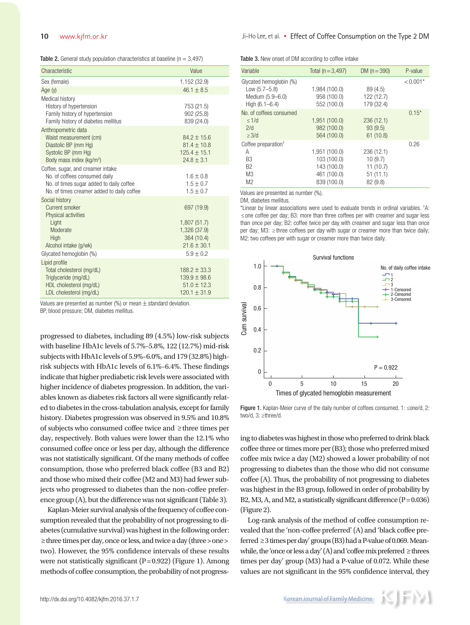**Table 2.** General study population characteristics at baseline  $(n = 3.497)$ 

| Characteristic                                                                                                                                               | Value                                                                       |
|--------------------------------------------------------------------------------------------------------------------------------------------------------------|-----------------------------------------------------------------------------|
| Sex (female)                                                                                                                                                 | 1,152 (32.9)                                                                |
| Age $(y)$                                                                                                                                                    | $46.1 + 8.5$                                                                |
| Medical history<br>History of hypertension<br>Family history of hypertension<br>Family history of diabetes mellitus                                          | 753 (21.5)<br>902 (25.8)<br>839 (24.0)                                      |
| Anthropometric data<br>Waist measurement (cm)<br>Diastolic BP (mm Hg)<br>Systolic BP (mm Hg)<br>Body mass index (kg/m <sup>2</sup> )                         | $84.2 \pm 15.6$<br>$81.4 + 10.8$<br>$125.4 \pm 15.1$<br>$24.8 \pm 3.1$      |
| Coffee, sugar, and creamer intake<br>No. of coffees consumed daily<br>No. of times sugar added to daily coffee<br>No. of times creamer added to daily coffee | $1.6 \pm 0.8$<br>$1.5 \pm 0.7$<br>$1.5 \pm 0.7$                             |
| Social history<br>Current smoker<br>Physical activities<br>Light<br>Moderate<br>High<br>Alcohol intake (g/wk)                                                | 697 (19.9)<br>1,807 (51.7)<br>1,326 (37.9)<br>364 (10.4)<br>$21.6 \pm 30.1$ |
| Glycated hemoglobin (%)                                                                                                                                      | $5.9 + 0.2$                                                                 |
| Lipid profile<br>Total cholesterol (mg/dL)<br>Triglyceride (mg/dL)<br>HDL cholesterol (mg/dL)<br>LDL cholesterol (mg/dL)                                     | $188.2 \pm 33.3$<br>$139.9 \pm 98.6$<br>$51.0 \pm 12.3$<br>$120.1 \pm 31.9$ |

Values are presented as number (%) or mean  $\pm$  standard deviation.

BP, blood pressure; DM, diabetes mellitus.

progressed to diabetes, including 89 (4.5%) low-risk subjects with baseline HbA1c levels of 5.7%–5.8%, 122 (12.7%) mid-risk subjects with HbA1c levels of 5.9%–6.0%, and 179 (32.8%) highrisk subjects with HbA1c levels of 6.1%–6.4%. These findings indicate that higher prediabetic risk levels were associated with higher incidence of diabetes progression. In addition, the variables known as diabetes risk factors all were significantly related to diabetes in the cross-tabulation analysis, except for family history. Diabetes progression was observed in 9.5% and 10.8% of subjects who consumed coffee twice and ≥three times per day, respectively. Both values were lower than the 12.1% who consumed coffee once or less per day, although the difference was not statistically significant. Of the many methods of coffee consumption, those who preferred black coffee (B3 and B2) and those who mixed their coffee (M2 and M3) had fewer subjects who progressed to diabetes than the non-coffee preference group (A), but the difference was not significant (Table 3).

Kaplan-Meier survival analysis of the frequency of coffee consumption revealed that the probability of not progressing to diabetes (cumulative survival) was highest in the following order: ≥three times per day, once or less, and twice a day (three>one> two). However, the 95% confidence intervals of these results were not statistically significant  $(P=0.922)$  (Figure 1). Among methods of coffee consumption, the probability of not progressTable 3. New onset of DM according to coffee intake

| Variable                                                                                                            | Total $(n = 3,497)$                                                       | DM $(n = 390)$                                           | P-value    |
|---------------------------------------------------------------------------------------------------------------------|---------------------------------------------------------------------------|----------------------------------------------------------|------------|
| Glycated hemoglobin (%)<br>Low $(5.7 - 5.8)$<br>Medium (5.9-6.0)<br>High $(6.1 - 6.4)$                              | 1,984 (100.0)<br>958 (100.0)<br>552 (100.0)                               | 89 (4.5)<br>122 (12.7)<br>179 (32.4)                     | $< 0.001*$ |
| No. of coffees consumed<br>$\leq 1/d$<br>2/d<br>$\geq$ 3/d                                                          | 1,951 (100.0)<br>982 (100.0)<br>564 (100.0)                               | 236(12.1)<br>93(9.5)<br>61(10.8)                         | $0.15*$    |
| Coffee preparation <sup><math>\dagger</math></sup><br>Α<br>B3<br>B <sub>2</sub><br>M <sub>3</sub><br>M <sub>2</sub> | 1,951 (100.0)<br>103 (100.0)<br>143 (100.0)<br>461 (100.0)<br>839 (100.0) | 236 (12.1)<br>10(9.7)<br>11(10.7)<br>51(11.1)<br>82(9.8) | 0.26       |

Values are presented as number (%).

DM, diabetes mellitus.

\*Linear by linear associations were used to evaluate trends in ordinal variables. † A: ≤ one coffee per day; B3: more than three coffees per with creamer and sugar less than once per day; B2: coffee twice per day with creamer and sugar less than once per day; M3: ≥ three coffees per day with sugar or creamer more than twice daily; M2: two coffees per with sugar or creamer more than twice daily.



Figure 1. Kaplan-Meier curve of the daily number of coffees consumed. 1: ≤one/d, 2:

ing to diabetes was highest in those who preferred to drink black coffee three or times more per (B3); those who preferred mixed coffee mix twice a day (M2) showed a lower probability of not progressing to diabetes than the those who did not consume coffee (A). Thus, the probability of not progressing to diabetes was highest in the B3 group, followed in order of probability by B2, M3, A, and M2, a statistically significant difference  $(P=0.036)$ (Figure 2).

Log-rank analysis of the method of coffee consumption revealed that the 'non-coffee preferred' (A) and 'black coffee preferred ≥3 times per day' groups (B3) had a P-value of 0.069. Meanwhile, the 'once or less a day' (A) and 'coffee mix preferred  $\geq$  threes times per day' group (M3) had a P-value of 0.072. While these values are not significant in the 95% confidence interval, they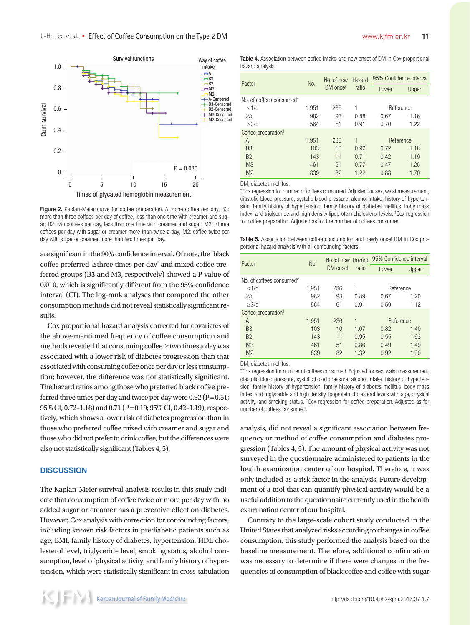

Figure 2. Kaplan-Meier curve for coffee preparation. A: ≤one coffee per day, B3: more than three coffees per day of coffee, less than one time with creamer and sugar; B2: two coffees per day, less than one time with creamer and sugar; M3: ≥three coffees per day with sugar or creamer more than twice a day; M2: coffee twice per

are significant in the 90% confidence interval. Of note, the 'black coffee preferred ≥three times per day' and mixed coffee preferred groups (B3 and M3, respectively) showed a P-value of 0.010, which is significantly different from the 95% confidence interval (CI). The log-rank analyses that compared the other consumption methods did not reveal statistically significant results.

Cox proportional hazard analysis corrected for covariates of the above-mentioned frequency of coffee consumption and methods revealed that consuming coffee ≥two times a day was associated with a lower risk of diabetes progression than that associated with consuming coffee once per day or less consumption; however, the difference was not statistically significant. The hazard ratios among those who preferred black coffee preferred three times per day and twice per day were  $0.92$  (P =  $0.51$ ; 95% CI, 0.72–1.18) and 0.71 (P=0.19; 95% CI, 0.42–1.19), respectively, which shows a lower risk of diabetes progression than in those who preferred coffee mixed with creamer and sugar and those who did not prefer to drink coffee, but the differences were also not statistically significant (Tables 4, 5).

# **DISCUSSION**

The Kaplan-Meier survival analysis results in this study indicate that consumption of coffee twice or more per day with no added sugar or creamer has a preventive effect on diabetes. However, Cox analysis with correction for confounding factors, including known risk factors in prediabetic patients such as age, BMI, family history of diabetes, hypertension, HDL cholesterol level, triglyceride level, smoking status, alcohol consumption, level of physical activity, and family history of hypertension, which were statistically significant in cross-tabulation Table 4. Association between coffee intake and new onset of DM in Cox proportional hazard analysis

| Factor                          | No.   | No. of new<br>DM onset | Hazard<br>ratio | 95% Confidence interval |       |
|---------------------------------|-------|------------------------|-----------------|-------------------------|-------|
|                                 |       |                        |                 | Lower                   | Upper |
| No. of coffees consumed*        |       |                        |                 |                         |       |
| $\leq 1/d$                      | 1,951 | 236                    | 1               | Reference               |       |
| 2/d                             | 982   | 93                     | 0.88            | 0.67                    | 1.16  |
| $\geq$ 3/d                      | 564   | 61                     | 0.91            | 0.70                    | 1.22  |
| Coffee preparation <sup>†</sup> |       |                        |                 |                         |       |
| A                               | 1,951 | 236                    | 1               | Reference               |       |
| B <sub>3</sub>                  | 103   | 10                     | 0.92            | 0.72                    | 1.18  |
| <b>B2</b>                       | 143   | 11                     | 0.71            | 0.42                    | 1.19  |
| M <sub>3</sub>                  | 461   | 51                     | 0.77            | 0.47                    | 1.26  |
| M <sub>2</sub>                  | 839   | 82                     | 1.22            | 0.88                    | 1.70  |

DM, diabetes mellitus.

\*Cox regression for number of coffees consumed. Adjusted for sex, waist measurement, diastolic blood pressure, systolic blood pressure, alcohol intake, history of hypertension, family history of hypertension, family history of diabetes mellitus, body mass index, and triglyceride and high density lipoprotein cholesterol levels. † Cox regression for coffee preparation. Adjusted as for the number of coffees consumed.

Table 5. Association between coffee consumption and newly onset DM in Cox proportional hazard analysis with all confounding factors

| Factor                          | No.   | No. of new Hazard<br>DM onset | ratio | 95% Confidence interval |       |
|---------------------------------|-------|-------------------------------|-------|-------------------------|-------|
|                                 |       |                               |       | Lower                   | Upper |
| No. of coffees consumed*        |       |                               |       |                         |       |
| $\leq 1/d$                      | 1,951 | 236                           | 1     | Reference               |       |
| 2/d                             | 982   | 93                            | 0.89  | 0.67                    | 1.20  |
| $\geq$ 3/d                      | 564   | 61                            | 0.91  | 0.59                    | 1.12  |
| Coffee preparation <sup>†</sup> |       |                               |       |                         |       |
| A                               | 1,951 | 236                           | 1     | Reference               |       |
| B <sub>3</sub>                  | 103   | 10                            | 1.07  | 0.82                    | 1.40  |
| <b>B2</b>                       | 143   | 11                            | 0.95  | 0.55                    | 1.63  |
| M <sub>3</sub>                  | 461   | 51                            | 0.86  | 0.49                    | 1.49  |
| M <sub>2</sub>                  | 839   | 82                            | 1.32  | 0.92                    | 1.90  |

DM, diabetes mellitus.

\*Cox regression for number of coffees consumed. Adjusted for sex, waist measurement, diastolic blood pressure, systolic blood pressure, alcohol intake, history of hypertension, family history of hypertension, family history of diabetes mellitus, body mass index, and triglyceride and high density lipoprotein cholesterol levels with age, physical activity, and smoking status. † Cox regression for coffee preparation. Adjusted as for number of coffees consumed.

analysis, did not reveal a significant association between frequency or method of coffee consumption and diabetes progression (Tables 4, 5). The amount of physical activity was not surveyed in the questionnaire administered to patients in the health examination center of our hospital. Therefore, it was only included as a risk factor in the analysis. Future development of a tool that can quantify physical activity would be a useful addition to the questionnaire currently used in the health examination center of our hospital.

Contrary to the large–scale cohort study conducted in the United States that analyzed risks according to changes in coffee consumption, this study performed the analysis based on the baseline measurement. Therefore, additional confirmation was necessary to determine if there were changes in the frequencies of consumption of black coffee and coffee with sugar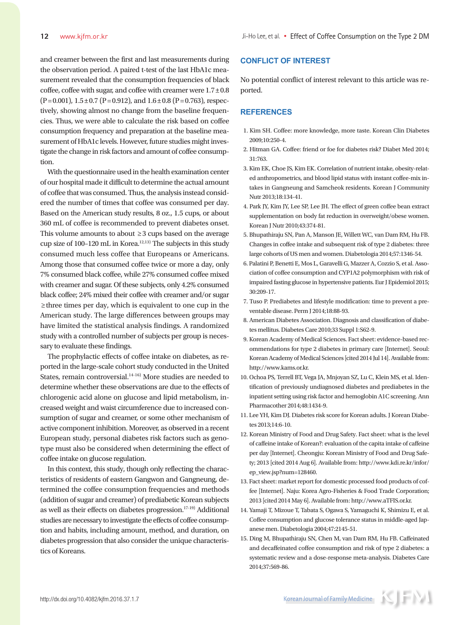and creamer between the first and last measurements during the observation period. A paired t-test of the last HbA1c measurement revealed that the consumption frequencies of black coffee, coffee with sugar, and coffee with creamer were  $1.7\pm0.8$  $(P=0.001)$ ,  $1.5\pm0.7$   $(P=0.912)$ , and  $1.6\pm0.8$   $(P=0.763)$ , respectively, showing almost no change from the baseline frequencies. Thus, we were able to calculate the risk based on coffee consumption frequency and preparation at the baseline measurement of HbA1c levels. However, future studies might investigate the change in risk factors and amount of coffee consumption.

With the questionnaire used in the health examination center of our hospital made it difficult to determine the actual amount of coffee that was consumed. Thus, the analysis instead considered the number of times that coffee was consumed per day. Based on the American study results, 8 oz., 1.5 cups, or about 360 mL of coffee is recommended to prevent diabetes onset. This volume amounts to about ≥3 cups based on the average cup size of 100–120 mL in Korea. $12,13)$  The subjects in this study consumed much less coffee that Europeans or Americans. Among those that consumed coffee twice or more a day, only 7% consumed black coffee, while 27% consumed coffee mixed with creamer and sugar. Of these subjects, only 4.2% consumed black coffee; 24% mixed their coffee with creamer and/or sugar ≥three times per day, which is equivalent to one cup in the American study. The large differences between groups may have limited the statistical analysis findings. A randomized study with a controlled number of subjects per group is necessary to evaluate these findings.

The prophylactic effects of coffee intake on diabetes, as reported in the large-scale cohort study conducted in the United States, remain controversial.<sup>14-16)</sup> More studies are needed to determine whether these observations are due to the effects of chlorogenic acid alone on glucose and lipid metabolism, increased weight and waist circumference due to increased consumption of sugar and creamer, or some other mechanism of active component inhibition. Moreover, as observed in a recent European study, personal diabetes risk factors such as genotype must also be considered when determining the effect of coffee intake on glucose regulation.

In this context, this study, though only reflecting the characteristics of residents of eastern Gangwon and Gangneung, determined the coffee consumption frequencies and methods (addition of sugar and creamer) of prediabetic Korean subjects as well as their effects on diabetes progression.17-19) Additional studies are necessary to investigate the effects of coffee consumption and habits, including amount, method, and duration, on diabetes progression that also consider the unique characteristics of Koreans.

# **CONFLICT OF INTEREST**

No potential conflict of interest relevant to this article was reported.

# **REFERENCES**

- 1. Kim SH. Coffee: more knowledge, more taste. Korean Clin Diabetes 2009;10:250-4.
- 2. Hitman GA. Coffee: friend or foe for diabetes risk? Diabet Med 2014; 31:763.
- 3. Kim EK, Choe JS, Kim EK. Correlation of nutrient intake, obesity-related anthropometrics, and blood lipid status with instant coffee-mix intakes in Gangneung and Samcheok residents. Korean J Community Nutr 2013;18:134-41.
- 4. Park JY, Kim JY, Lee SP, Lee JH. The effect of green coffee bean extract supplementation on body fat reduction in overweight/obese women. Korean J Nutr 2010;43:374-81.
- 5. Bhupathiraju SN, Pan A, Manson JE, Willett WC, van Dam RM, Hu FB. Changes in coffee intake and subsequent risk of type 2 diabetes: three large cohorts of US men and women. Diabetologia 2014;57:1346-54.
- 6. Palatini P, Benetti E, Mos L, Garavelli G, Mazzer A, Cozzio S, et al. Association of coffee consumption and CYP1A2 polymorphism with risk of impaired fasting glucose in hypertensive patients. Eur J Epidemiol 2015; 30:209-17.
- 7. Tuso P. Prediabetes and lifestyle modification: time to prevent a preventable disease. Perm J 2014;18:88-93.
- 8. American Diabetes Association. Diagnosis and classification of diabetes mellitus. Diabetes Care 2010;33 Suppl 1:S62-9.
- 9. Korean Academy of Medical Sciences. Fact sheet: evidence-based recommendations for type 2 diabetes in primary care [Internet]. Seoul: Korean Academy of Medical Sciences [cited 2014 Jul 14]. Available from: http://www.kams.or.kr.
- 10. Ochoa PS, Terrell BT, Vega JA, Mnjoyan SZ, Lu C, Klein MS, et al. Identification of previously undiagnosed diabetes and prediabetes in the inpatient setting using risk factor and hemoglobin A1C screening. Ann Pharmacother 2014;48:1434-9.
- 11. Lee YH, Kim DJ. Diabetes risk score for Korean adults. J Korean Diabetes 2013;14:6-10.
- 12. Korean Ministry of Food and Drug Safety. Fact sheet: what is the level of caffeine intake of Korean?: evaluation of the capita intake of caffeine per day [Internet]. Cheongju: Korean Ministry of Food and Drug Safety; 2013 [cited 2014 Aug 6]. Available from: http://www.kdi.re.kr/infor/ ep\_view.jsp?num=128460.
- 13. Fact sheet: market report for domestic processed food products of coffee [Internet]. Naju: Korea Agro-Fisheries & Food Trade Corporation; 2013 [cited 2014 May 6]. Available from: http://www.aTFIS.or.kr.
- 14. Yamaji T, Mizoue T, Tabata S, Ogawa S, Yamaguchi K, Shimizu E, et al. Coffee consumption and glucose tolerance status in middle-aged Japanese men. Diabetologia 2004;47:2145-51.
- 15. Ding M, Bhupathiraju SN, Chen M, van Dam RM, Hu FB. Caffeinated and decaffeinated coffee consumption and risk of type 2 diabetes: a systematic review and a dose-response meta-analysis. Diabetes Care 2014;37:569-86.